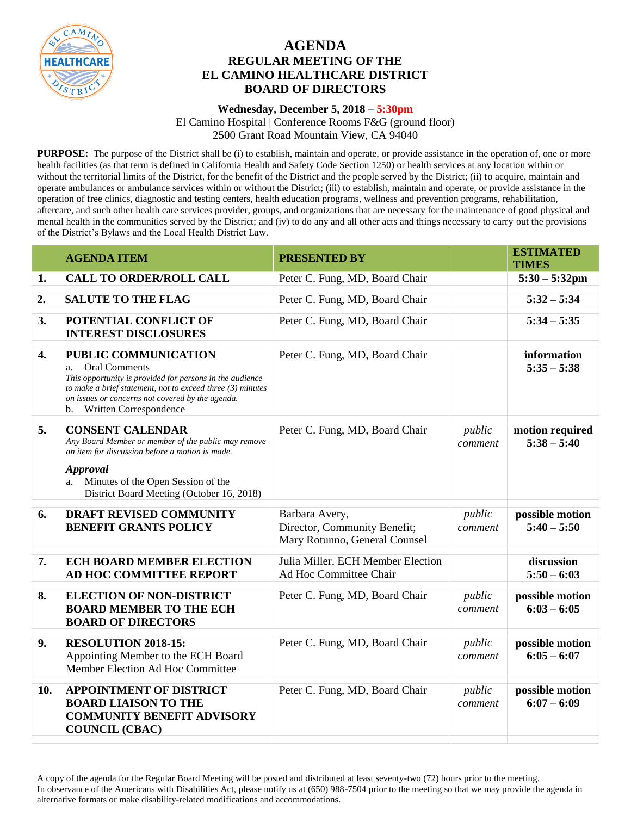

## **AGENDA REGULAR MEETING OF THE EL CAMINO HEALTHCARE DISTRICT BOARD OF DIRECTORS**

## **Wednesday, December 5, 2018 – 5:30pm**

El Camino Hospital | Conference Rooms F&G (ground floor) 2500 Grant Road Mountain View, CA 94040

**PURPOSE:** The purpose of the District shall be (i) to establish, maintain and operate, or provide assistance in the operation of, one or more health facilities (as that term is defined in California Health and Safety Code Section 1250) or health services at any location within or without the territorial limits of the District, for the benefit of the District and the people served by the District; (ii) to acquire, maintain and operate ambulances or ambulance services within or without the District; (iii) to establish, maintain and operate, or provide assistance in the operation of free clinics, diagnostic and testing centers, health education programs, wellness and prevention programs, rehabilitation, aftercare, and such other health care services provider, groups, and organizations that are necessary for the maintenance of good physical and mental health in the communities served by the District; and (iv) to do any and all other acts and things necessary to carry out the provisions of the District's Bylaws and the Local Health District Law.

|                  | <b>AGENDA ITEM</b>                                                                                                                                                                                                                                                             | <b>PRESENTED BY</b>                                                             |                   | <b>ESTIMATED</b><br><b>TIMES</b> |
|------------------|--------------------------------------------------------------------------------------------------------------------------------------------------------------------------------------------------------------------------------------------------------------------------------|---------------------------------------------------------------------------------|-------------------|----------------------------------|
| 1.               | <b>CALL TO ORDER/ROLL CALL</b>                                                                                                                                                                                                                                                 | Peter C. Fung, MD, Board Chair                                                  |                   | $5:30 - 5:32$ pm                 |
| 2.               | <b>SALUTE TO THE FLAG</b>                                                                                                                                                                                                                                                      | Peter C. Fung, MD, Board Chair                                                  |                   | $5:32 - 5:34$                    |
| 3.               | POTENTIAL CONFLICT OF<br><b>INTEREST DISCLOSURES</b>                                                                                                                                                                                                                           | Peter C. Fung, MD, Board Chair                                                  |                   | $5:34 - 5:35$                    |
| $\overline{4}$ . | PUBLIC COMMUNICATION<br><b>Oral Comments</b><br>a.<br>This opportunity is provided for persons in the audience<br>to make a brief statement, not to exceed three $(3)$ minutes<br>on issues or concerns not covered by the agenda.<br>Written Correspondence<br>$\mathbf{b}$ . | Peter C. Fung, MD, Board Chair                                                  |                   | information<br>$5:35 - 5:38$     |
| 5.               | <b>CONSENT CALENDAR</b><br>Any Board Member or member of the public may remove<br>an item for discussion before a motion is made.<br><b>Approval</b><br>Minutes of the Open Session of the<br>a.<br>District Board Meeting (October 16, 2018)                                  | Peter C. Fung, MD, Board Chair                                                  | public<br>comment | motion required<br>$5:38 - 5:40$ |
| 6.               | <b>DRAFT REVISED COMMUNITY</b><br><b>BENEFIT GRANTS POLICY</b>                                                                                                                                                                                                                 | Barbara Avery,<br>Director, Community Benefit;<br>Mary Rotunno, General Counsel | public<br>comment | possible motion<br>$5:40 - 5:50$ |
| 7.               | <b>ECH BOARD MEMBER ELECTION</b><br>AD HOC COMMITTEE REPORT                                                                                                                                                                                                                    | Julia Miller, ECH Member Election<br>Ad Hoc Committee Chair                     |                   | discussion<br>$5:50 - 6:03$      |
| 8.               | <b>ELECTION OF NON-DISTRICT</b><br><b>BOARD MEMBER TO THE ECH</b><br><b>BOARD OF DIRECTORS</b>                                                                                                                                                                                 | Peter C. Fung, MD, Board Chair                                                  | public<br>comment | possible motion<br>$6:03 - 6:05$ |
| 9.               | RESOLUTION 2018-15:<br>Appointing Member to the ECH Board<br>Member Election Ad Hoc Committee                                                                                                                                                                                  | Peter C. Fung, MD, Board Chair                                                  | public<br>comment | possible motion<br>$6:05 - 6:07$ |
| 10.              | <b>APPOINTMENT OF DISTRICT</b><br><b>BOARD LIAISON TO THE</b><br><b>COMMUNITY BENEFIT ADVISORY</b><br><b>COUNCIL (CBAC)</b>                                                                                                                                                    | Peter C. Fung, MD, Board Chair                                                  | public<br>comment | possible motion<br>$6:07 - 6:09$ |

A copy of the agenda for the Regular Board Meeting will be posted and distributed at least seventy-two (72) hours prior to the meeting. In observance of the Americans with Disabilities Act, please notify us at (650) 988-7504 prior to the meeting so that we may provide the agenda in alternative formats or make disability-related modifications and accommodations.